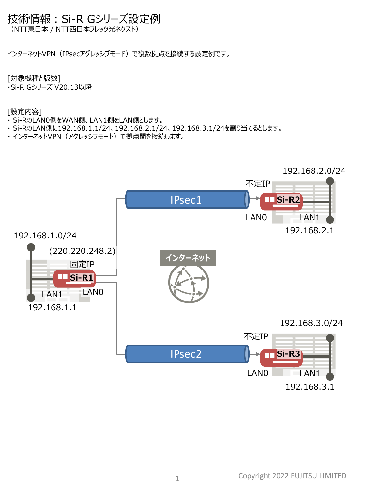# 技術情報:Si-R Gシリーズ設定例

(NTT東日本 / NTT西日本フレッツ光ネクスト)

インターネットVPN(IPsecアグレッシブモード)で複数拠点を接続する設定例です。

[対象機種と版数]

・Si-R Gシリーズ V20.13以降

[設定内容]

- ・ Si-RのLAN0側をWAN側、LAN1側をLAN側とします。
- ・ Si-RのLAN側に192.168.1.1/24、192.168.2.1/24、192.168.3.1/24を割り当てるとします。
- · インターネットVPN (アグレッシブモード) で拠点間を接続します。

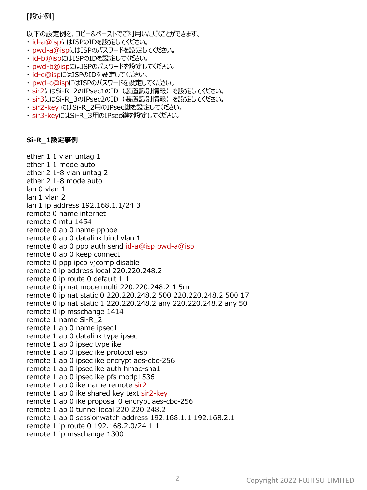# [設定例]

以下の設定例を、コピー&ペーストでご利用いただくことができます。

- ・ id-a@ispにはISPのIDを設定してください。
- ・ pwd-a@ispにはISPのパスワードを設定してください。
- ・ id-b@ispにはISPのIDを設定してください。
- ・ pwd-b@ispにはISPのパスワードを設定してください。
- ・ id-c@ispにはISPのIDを設定してください。
- ・ pwd-c@ispにはISPのパスワードを設定してください。
- · sir2にはSi-R 2のIPsec1のID (装置識別情報) を設定してください。
- · sir3にはSi-R 3のIPsec2のID (装置識別情報) を設定してください。
- ・ sir2-key にはSi-R\_2用のIPsec鍵を設定してください。
- · sir3-keyにはSi-R\_3用のIPsec鍵を設定してください。

## **Si-R\_1設定事例**

ether 1 1 vlan untag 1 ether 1 1 mode auto ether 2 1-8 vlan untag 2 ether 2 1-8 mode auto lan 0 vlan 1 lan 1 vlan 2 lan 1 ip address 192.168.1.1/24 3 remote 0 name internet remote 0 mtu 1454 remote 0 ap 0 name pppoe remote 0 ap 0 datalink bind vlan 1 remote 0 ap 0 ppp auth send id-a@isp pwd-a@isp remote 0 ap 0 keep connect remote 0 ppp ipcp vjcomp disable remote 0 ip address local 220.220.248.2 remote 0 ip route 0 default 1 1 remote 0 ip nat mode multi 220.220.248.2 1 5m remote 0 ip nat static 0 220.220.248.2 500 220.220.248.2 500 17 remote 0 ip nat static 1 220.220.248.2 any 220.220.248.2 any 50 remote 0 ip msschange 1414 remote 1 name Si-R\_2 remote 1 ap 0 name ipsec1 remote 1 ap 0 datalink type ipsec remote 1 ap 0 ipsec type ike remote 1 ap 0 ipsec ike protocol esp remote 1 ap 0 ipsec ike encrypt aes-cbc-256 remote 1 ap 0 ipsec ike auth hmac-sha1 remote 1 ap 0 ipsec ike pfs modp1536 remote 1 ap 0 ike name remote sir2 remote 1 ap 0 ike shared key text sir2-key remote 1 ap 0 ike proposal 0 encrypt aes-cbc-256 remote 1 ap 0 tunnel local 220.220.248.2 remote 1 ap 0 sessionwatch address 192.168.1.1 192.168.2.1 remote 1 ip route 0 192.168.2.0/24 1 1 remote 1 ip msschange 1300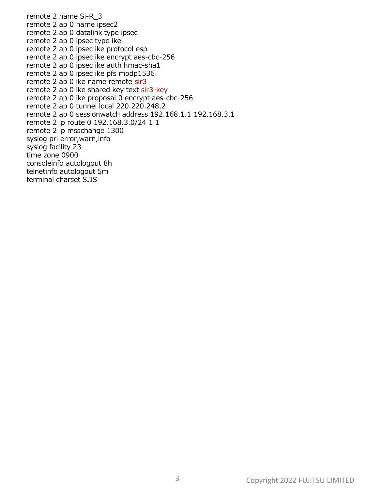remote 2 name Si-R\_3 remote 2 ap 0 name ipsec2 remote 2 ap 0 datalink type ipsec remote 2 ap 0 ipsec type ike remote 2 ap 0 ipsec ike protocol esp remote 2 ap 0 ipsec ike encrypt aes-cbc-256 remote 2 ap 0 ipsec ike auth hmac-sha1 remote 2 ap 0 ipsec ike pfs modp1536 remote 2 ap 0 ike name remote sir3 remote 2 ap 0 ike shared key text sir3-key remote 2 ap 0 ike proposal 0 encrypt aes-cbc-256 remote 2 ap 0 tunnel local 220.220.248.2 remote 2 ap 0 sessionwatch address 192.168.1.1 192.168.3.1 remote 2 ip route 0 192.168.3.0/24 1 1 remote 2 ip msschange 1300 syslog pri error,warn,info syslog facility 23 time zone 0900 consoleinfo autologout 8h telnetinfo autologout 5m terminal charset SJIS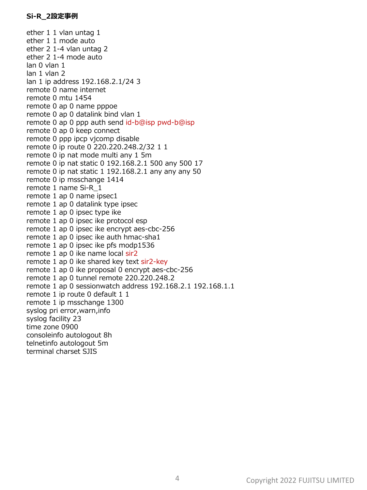ether 1 1 vlan untag 1 ether 1 1 mode auto ether 2 1-4 vlan untag 2 ether 2 1-4 mode auto lan 0 vlan 1 lan 1 vlan 2 lan 1 ip address 192.168.2.1/24 3 remote 0 name internet remote 0 mtu 1454 remote 0 ap 0 name pppoe remote 0 ap 0 datalink bind vlan 1 remote 0 ap 0 ppp auth send id-b@isp pwd-b@isp remote 0 ap 0 keep connect remote 0 ppp ipcp vjcomp disable remote 0 ip route 0 220.220.248.2/32 1 1 remote 0 ip nat mode multi any 1 5m remote 0 ip nat static 0 192.168.2.1 500 any 500 17 remote 0 ip nat static 1 192.168.2.1 any any any 50 remote 0 ip msschange 1414 remote 1 name Si-R\_1 remote 1 ap 0 name ipsec1 remote 1 ap 0 datalink type ipsec remote 1 ap 0 ipsec type ike remote 1 ap 0 ipsec ike protocol esp remote 1 ap 0 ipsec ike encrypt aes-cbc-256 remote 1 ap 0 ipsec ike auth hmac-sha1 remote 1 ap 0 ipsec ike pfs modp1536 remote 1 ap 0 ike name local sir2 remote 1 ap 0 ike shared key text sir2-key remote 1 ap 0 ike proposal 0 encrypt aes-cbc-256 remote 1 ap 0 tunnel remote 220.220.248.2 remote 1 ap 0 sessionwatch address 192.168.2.1 192.168.1.1 remote 1 ip route 0 default 1 1 remote 1 ip msschange 1300 syslog pri error,warn,info syslog facility 23 time zone 0900 consoleinfo autologout 8h telnetinfo autologout 5m terminal charset SJIS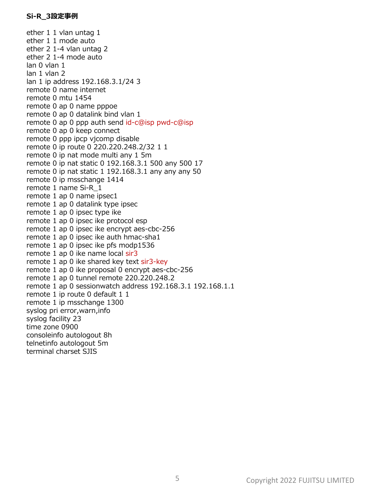ether 1 1 vlan untag 1 ether 1 1 mode auto ether 2 1-4 vlan untag 2 ether 2 1-4 mode auto lan 0 vlan 1 lan 1 vlan 2 lan 1 ip address 192.168.3.1/24 3 remote 0 name internet remote 0 mtu 1454 remote 0 ap 0 name pppoe remote 0 ap 0 datalink bind vlan 1 remote 0 ap 0 ppp auth send id-c@isp pwd-c@isp remote 0 ap 0 keep connect remote 0 ppp ipcp vjcomp disable remote 0 ip route 0 220.220.248.2/32 1 1 remote 0 ip nat mode multi any 1 5m remote 0 ip nat static 0 192.168.3.1 500 any 500 17 remote 0 ip nat static 1 192.168.3.1 any any any 50 remote 0 ip msschange 1414 remote 1 name Si-R\_1 remote 1 ap 0 name ipsec1 remote 1 ap 0 datalink type ipsec remote 1 ap 0 ipsec type ike remote 1 ap 0 ipsec ike protocol esp remote 1 ap 0 ipsec ike encrypt aes-cbc-256 remote 1 ap 0 ipsec ike auth hmac-sha1 remote 1 ap 0 ipsec ike pfs modp1536 remote 1 ap 0 ike name local sir3 remote 1 ap 0 ike shared key text sir3-key remote 1 ap 0 ike proposal 0 encrypt aes-cbc-256 remote 1 ap 0 tunnel remote 220.220.248.2 remote 1 ap 0 sessionwatch address 192.168.3.1 192.168.1.1 remote 1 ip route 0 default 1 1 remote 1 ip msschange 1300 syslog pri error,warn,info syslog facility 23 time zone 0900 consoleinfo autologout 8h telnetinfo autologout 5m terminal charset SJIS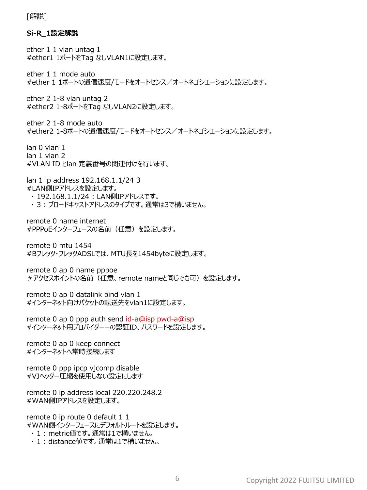[解説]

### **Si-R\_1設定解説**

ether 1 1 vlan untag 1 #ether1 1ポートをTag なしVLAN1に設定します。

ether 1 1 mode auto #ether 1 1ポートの通信速度/モードをオートセンス/オートネゴシエーションに設定します。

ether 2 1-8 vlan untag 2 #ether2 1-8ポートをTag なしVLAN2に設定します。

ether 2 1-8 mode auto #ether2 1-8ポートの通信速度/モードをオートセンス/オートネゴシエーションに設定します。

lan 0 vlan 1 lan 1 vlan 2 #VLAN ID とlan 定義番号の関連付けを行います。

lan 1 ip address 192.168.1.1/24 3 #LAN側IPアドレスを設定します。

・ 192.168.1.1/24 : LAN側IPアドレスです。 ・ 3 : ブロードキャストアドレスのタイプです。通常は3で構いません。

remote 0 name internet #PPPoEインターフェースの名前(任意)を設定します。

remote 0 mtu 1454 #Bフレッツ・フレッツADSLでは、MTU長を1454byteに設定します。

remote 0 ap 0 name pppoe #アクセスポイントの名前(任意、remote nameと同じでも可)を設定します。

remote 0 ap 0 datalink bind vlan 1 #インターネット向けパケットの転送先をvlan1に設定します。

remote 0 ap 0 ppp auth send id-a@isp pwd-a@isp #インターネット用プロバイダーーの認証ID、パスワードを設定します。

remote 0 ap 0 keep connect #インターネットへ常時接続します

remote 0 ppp ipcp vjcomp disable #VJヘッダー圧縮を使用しない設定にします

remote 0 ip address local 220.220.248.2 #WAN側IPアドレスを設定します。

remote 0 ip route 0 default 1 1 #WAN側インターフェースにデフォルトルートを設定します。

・ 1 : metric値です。通常は1で構いません。

・ 1 : distance値です。通常は1で構いません。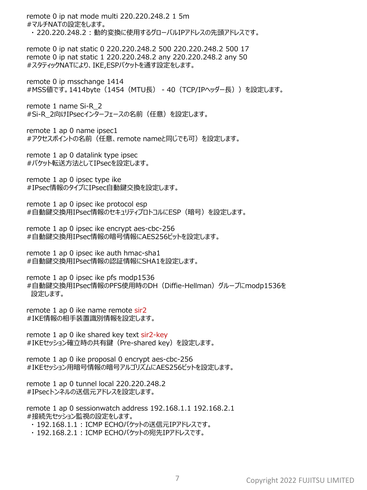remote 0 ip nat mode multi 220.220.248.2 1 5m #マルチNATの設定をします。 ・ 220.220.248.2 : 動的変換に使用するグローバルIPアドレスの先頭アドレスです。 remote 0 ip nat static 0 220.220.248.2 500 220.220.248.2 500 17 remote 0 ip nat static 1 220.220.248.2 any 220.220.248.2 any 50 #スタティックNATにより、IKE,ESPパケットを通す設定をします。 remote 0 ip msschange 1414 #MSS値です。1414byte(1454(MTU長) - 40(TCP/IPヘッダー長))を設定します。 remote 1 name Si-R\_2 #Si-R 2向けIPsecインターフェースの名前(任意)を設定します。 remote 1 ap 0 name ipsec1 #アクセスポイントの名前(任意、remote nameと同じでも可)を設定します。 remote 1 ap 0 datalink type ipsec #パケット転送方法としてIPsecを設定します。 remote 1 ap 0 ipsec type ike #IPsec情報のタイプにIPsec自動鍵交換を設定します。 remote 1 ap 0 ipsec ike protocol esp #自動鍵交換用IPsec情報のセキュリティプロトコルにESP (暗号) を設定します。 remote 1 ap 0 ipsec ike encrypt aes-cbc-256 #自動鍵交換用IPsec情報の暗号情報にAES256ビットを設定します。 remote 1 ap 0 ipsec ike auth hmac-sha1 #自動鍵交換用IPsec情報の認証情報にSHA1を設定します。 remote 1 ap 0 ipsec ike pfs modp1536 #自動鍵交換用IPsec情報のPFS使用時のDH(Diffie-Hellman)グループにmodp1536を 設定します。 remote 1 ap 0 ike name remote sir2 #IKE情報の相手装置識別情報を設定します。 remote 1 ap 0 ike shared key text sir2-key #IKEセッション確立時の共有鍵(Pre-shared key)を設定します。 remote 1 ap 0 ike proposal 0 encrypt aes-cbc-256 #IKEセッション用暗号情報の暗号アルゴリズムにAES256ビットを設定します。 remote 1 ap 0 tunnel local 220.220.248.2 #IPsecトンネルの送信元アドレスを設定します。 remote 1 ap 0 sessionwatch address 192.168.1.1 192.168.2.1 #接続先セッション監視の設定をします。

・ 192.168.1.1 : ICMP ECHOパケットの送信元IPアドレスです。

・ 192.168.2.1 : ICMP ECHOパケットの宛先IPアドレスです。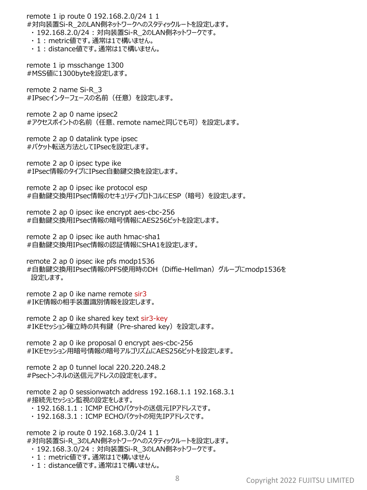remote 1 ip route 0 192.168.2.0/24 1 1 #対向装置Si-R\_2のLAN側ネットワークへのスタティックルートを設定します。 ・ 192.168.2.0/24 : 対向装置Si-R\_2のLAN側ネットワークです。 ・ 1 : metric値です。通常は1で構いません。 ・ 1 : distance値です。通常は1で構いません。 remote 1 ip msschange 1300 #MSS値に1300byteを設定します。 remote 2 name Si-R\_3 #IPsecインターフェースの名前(任意)を設定します。 remote 2 ap 0 name ipsec2 #アクセスポイントの名前(任意、remote nameと同じでも可)を設定します。 remote 2 ap 0 datalink type ipsec #パケット転送方法としてIPsecを設定します。 remote 2 ap 0 ipsec type ike #IPsec情報のタイプにIPsec自動鍵交換を設定します。 remote 2 ap 0 ipsec ike protocol esp #自動鍵交換用IPsec情報のセキュリティプロトコルにESP (暗号) を設定します。 remote 2 ap 0 ipsec ike encrypt aes-cbc-256 #自動鍵交換用IPsec情報の暗号情報にAES256ビットを設定します。 remote 2 ap 0 ipsec ike auth hmac-sha1 #自動鍵交換用IPsec情報の認証情報にSHA1を設定します。 remote 2 ap 0 ipsec ike pfs modp1536 #自動鍵交換用IPsec情報のPFS使用時のDH(Diffie-Hellman)グループにmodp1536を 設定します。 remote 2 ap 0 ike name remote sir3

#IKE情報の相手装置識別情報を設定します。 remote 2 ap 0 ike shared key text sir3-key

#IKEセッション確立時の共有鍵(Pre-shared key)を設定します。

remote 2 ap 0 ike proposal 0 encrypt aes-cbc-256 #IKEセッション用暗号情報の暗号アルゴリズムにAES256ビットを設定します。

remote 2 ap 0 tunnel local 220.220.248.2 #Psecトンネルの送信元アドレスの設定をします。

remote 2 ap 0 sessionwatch address 192.168.1.1 192.168.3.1 #接続先セッション監視の設定をします。

- ・ 192.168.1.1 : ICMP ECHOパケットの送信元IPアドレスです。
- ・ 192.168.3.1 : ICMP ECHOパケットの宛先IPアドレスです。

remote 2 ip route 0 192.168.3.0/24 1 1 #対向装置Si-R\_3のLAN側ネットワークへのスタティックルートを設定します。

- ・ 192.168.3.0/24 : 対向装置Si-R\_3のLAN側ネットワークです。
- ・ 1 : metric値です。通常は1で構いません
- ・ 1 : distance値です。通常は1で構いません。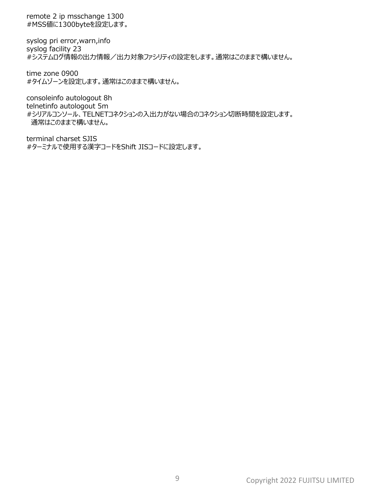remote 2 ip msschange 1300 #MSS値に1300byteを設定します。

syslog pri error,warn,info syslog facility 23 #システムログ情報の出力情報/出力対象ファシリティの設定をします。通常はこのままで構いません。

time zone 0900 #タイムゾーンを設定します。通常はこのままで構いません。

consoleinfo autologout 8h telnetinfo autologout 5m #シリアルコンソール、TELNETコネクションの入出力がない場合のコネクション切断時間を設定します。 通常はこのままで構いません。

terminal charset SJIS #ターミナルで使用する漢字コードをShift JISコードに設定します。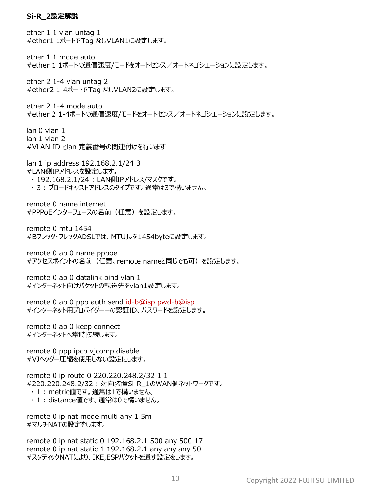#### **Si-R\_2設定解説**

ether 1 1 vlan untag 1 #ether1 1ポートをTag なしVLAN1に設定します。 ether 1 1 mode auto #ether 1 1ポートの通信速度/モードをオートセンス/オートネゴシエーションに設定します。 ether 2 1-4 vlan untag 2 #ether2 1-4ポートをTag なしVLAN2に設定します。 ether 2 1-4 mode auto #ether 2 1-4ポートの通信速度/モードをオートセンス/オートネゴシエーションに設定します。 lan 0 vlan 1 lan 1 vlan 2 #VLAN ID とlan 定義番号の関連付けを行います lan 1 ip address 192.168.2.1/24 3 #LAN側IPアドレスを設定します。 ・ 192.168.2.1/24 : LAN側IPアドレス/マスクです。 ・ 3 : ブロードキャストアドレスのタイプです。通常は3で構いません。 remote 0 name internet #PPPoEインターフェースの名前(任意)を設定します。 remote 0 mtu 1454 #Bフレッツ・フレッツADSLでは、MTU長を1454byteに設定します。 remote 0 ap 0 name pppoe #アクセスポイントの名前(任意、remote nameと同じでも可)を設定します。 remote 0 ap 0 datalink bind vlan 1 #インターネット向けパケットの転送先をvlan1設定します。 remote 0 ap 0 ppp auth send id-b@isp pwd-b@isp #インターネット用プロバイダーーの認証ID、パスワードを設定します。 remote 0 ap 0 keep connect #インターネットへ常時接続します。 remote 0 ppp ipcp vjcomp disable #VJヘッダー圧縮を使用しない設定にします。 remote 0 ip route 0 220.220.248.2/32 1 1 #220.220.248.2/32 : 対向装置Si-R\_1のWAN側ネットワークです。 ・ 1 : metric値です。通常は1で構いません。 ・ 1 : distance値です。通常は0で構いません。 remote 0 ip nat mode multi any 1 5m #マルチNATの設定をします。 remote 0 ip nat static 0 192.168.2.1 500 any 500 17

remote 0 ip nat static 1 192.168.2.1 any any any 50 #スタティックNATにより、IKE,ESPパケットを通す設定をします。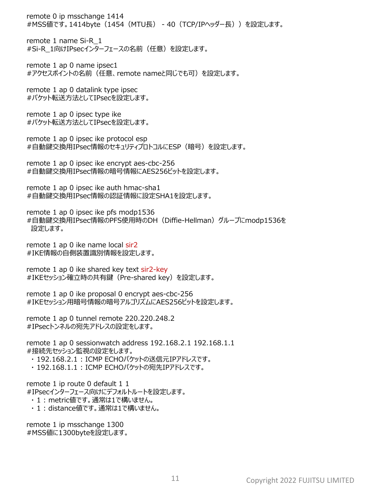remote 0 ip msschange 1414 #MSS値です。1414byte(1454(MTU長) - 40(TCP/IPヘッダー長))を設定します。

remote 1 name Si-R\_1 #Si-R\_1向けIPsecインターフェースの名前(任意)を設定します。

remote 1 ap 0 name ipsec1 #アクセスポイントの名前(任意、remote nameと同じでも可)を設定します。

remote 1 ap 0 datalink type ipsec #パケット転送方法としてIPsecを設定します。

remote 1 ap 0 ipsec type ike #パケット転送方法としてIPsecを設定します。

remote 1 ap 0 ipsec ike protocol esp #自動鍵交換用IPsec情報のセキュリティプロトコルにESP(暗号)を設定します。

remote 1 ap 0 ipsec ike encrypt aes-cbc-256 #自動鍵交換用IPsec情報の暗号情報にAES256ビットを設定します。

remote 1 ap 0 ipsec ike auth hmac-sha1 #自動鍵交換用IPsec情報の認証情報に設定SHA1を設定します。

remote 1 ap 0 ipsec ike pfs modp1536 #自動鍵交換用IPsec情報のPFS使用時のDH(Diffie-Hellman)グループにmodp1536を 設定します。

remote 1 ap 0 ike name local sir2 #IKE情報の自側装置識別情報を設定します。

remote 1 ap 0 ike shared key text sir2-key #IKEセッション確立時の共有鍵(Pre-shared key)を設定します。

remote 1 ap 0 ike proposal 0 encrypt aes-cbc-256 #IKEセッション用暗号情報の暗号アルゴリズムにAES256ビットを設定します。

remote 1 ap 0 tunnel remote 220.220.248.2 #IPsecトンネルの宛先アドレスの設定をします。

remote 1 ap 0 sessionwatch address 192.168.2.1 192.168.1.1 #接続先セッション監視の設定をします。

・ 192.168.2.1 : ICMP ECHOパケットの送信元IPアドレスです。

・ 192.168.1.1 : ICMP ECHOパケットの宛先IPアドレスです。

remote 1 ip route 0 default 1 1 #IPsecインターフェース向けにデフォルトルートを設定します。

- ・ 1 : metric値です。通常は1で構いません。
- ・ 1 : distance値です。通常は1で構いません。

remote 1 ip msschange 1300 #MSS値に1300byteを設定します。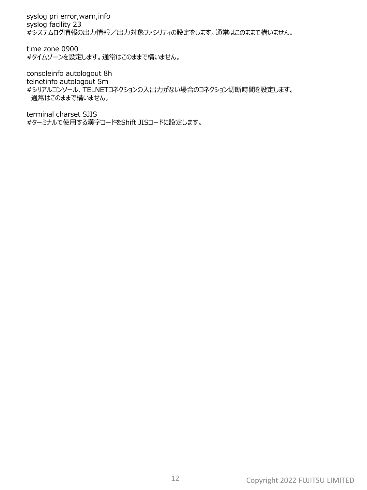syslog pri error,warn,info syslog facility 23 #システムログ情報の出力情報/出力対象ファシリティの設定をします。通常はこのままで構いません。

time zone 0900 #タイムゾーンを設定します。通常はこのままで構いません。

consoleinfo autologout 8h telnetinfo autologout 5m #シリアルコンソール、TELNETコネクションの入出力がない場合のコネクション切断時間を設定します。 通常はこのままで構いません。

terminal charset SJIS #ターミナルで使用する漢字コードをShift JISコードに設定します。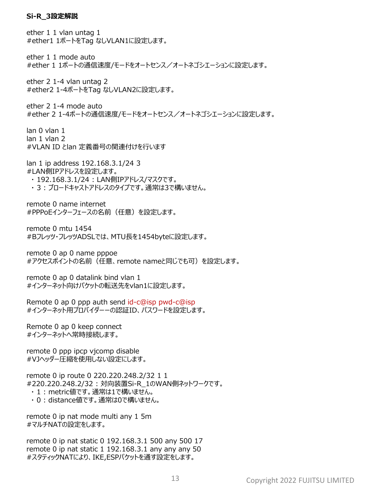#### **Si-R\_3設定解説**

ether 1 1 vlan untag 1 #ether1 1ポートをTag なしVLAN1に設定します。 ether 1 1 mode auto #ether 1 1ポートの通信速度/モードをオートセンス/オートネゴシエーションに設定します。 ether 2 1-4 vlan untag 2 #ether2 1-4ポートをTag なしVLAN2に設定します。 ether 2 1-4 mode auto #ether 2 1-4ポートの通信速度/モードをオートセンス/オートネゴシエーションに設定します。 lan 0 vlan 1 lan 1 vlan 2 #VLAN ID とlan 定義番号の関連付けを行います lan 1 ip address 192.168.3.1/24 3 #LAN側IPアドレスを設定します。 ・ 192.168.3.1/24 : LAN側IPアドレス/マスクです。 ・ 3 : ブロードキャストアドレスのタイプです。通常は3で構いません。 remote 0 name internet #PPPoEインターフェースの名前(任意)を設定します。 remote 0 mtu 1454 #Bフレッツ・フレッツADSLでは、MTU長を1454byteに設定します。 remote 0 ap 0 name pppoe #アクセスポイントの名前(任意、remote nameと同じでも可)を設定します。 remote 0 ap 0 datalink bind vlan 1 #インターネット向けパケットの転送先をvlan1に設定します。 Remote 0 ap 0 ppp auth send id-c@isp pwd-c@isp #インターネット用プロバイダーーの認証ID、パスワードを設定します。 Remote 0 ap 0 keep connect #インターネットへ常時接続します。 remote 0 ppp ipcp vjcomp disable #VJヘッダー圧縮を使用しない設定にします。 remote 0 ip route 0 220.220.248.2/32 1 1 #220.220.248.2/32 : 対向装置Si-R\_1のWAN側ネットワークです。 ・ 1 : metric値です。通常は1で構いません。 ・ 0 : distance値です。通常は0で構いません。 remote 0 ip nat mode multi any 1 5m #マルチNATの設定をします。 remote 0 ip nat static 0 192.168.3.1 500 any 500 17 remote 0 ip nat static 1 192.168.3.1 any any any 50

#スタティックNATにより、IKE,ESPパケットを通す設定をします。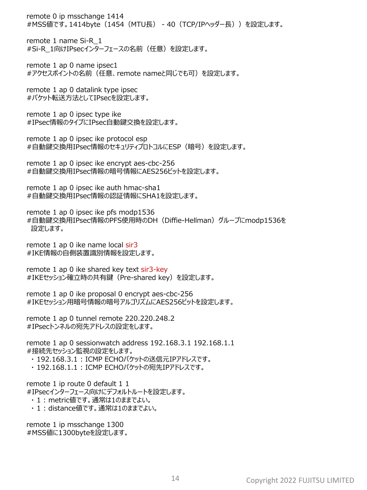remote 0 ip msschange 1414 #MSS値です。1414byte(1454(MTU長) - 40(TCP/IPヘッダー長))を設定します。

remote 1 name Si-R\_1 #Si-R\_1向けIPsecインターフェースの名前(任意)を設定します。

remote 1 ap 0 name ipsec1 #アクセスポイントの名前(任意、remote nameと同じでも可)を設定します。

remote 1 ap 0 datalink type ipsec #パケット転送方法としてIPsecを設定します。

remote 1 ap 0 ipsec type ike #IPsec情報のタイプにIPsec自動鍵交換を設定します。

remote 1 ap 0 ipsec ike protocol esp #自動鍵交換用IPsec情報のセキュリティプロトコルにESP(暗号)を設定します。

remote 1 ap 0 ipsec ike encrypt aes-cbc-256 #自動鍵交換用IPsec情報の暗号情報にAES256ビットを設定します。

remote 1 ap 0 ipsec ike auth hmac-sha1 #自動鍵交換用IPsec情報の認証情報にSHA1を設定します。

remote 1 ap 0 ipsec ike pfs modp1536 #自動鍵交換用IPsec情報のPFS使用時のDH(Diffie-Hellman)グループにmodp1536を 設定します。

remote 1 ap 0 ike name local sir3 #IKE情報の自側装置識別情報を設定します。

remote 1 ap 0 ike shared key text sir3-key #IKEセッション確立時の共有鍵(Pre-shared key)を設定します。

remote 1 ap 0 ike proposal 0 encrypt aes-cbc-256 #IKEセッション用暗号情報の暗号アルゴリズムにAES256ビットを設定します。

remote 1 ap 0 tunnel remote 220.220.248.2 #IPsecトンネルの宛先アドレスの設定をします。

remote 1 ap 0 sessionwatch address 192.168.3.1 192.168.1.1 #接続先セッション監視の設定をします。

・ 192.168.3.1 : ICMP ECHOパケットの送信元IPアドレスです。

・ 192.168.1.1 : ICMP ECHOパケットの宛先IPアドレスです。

remote 1 ip route 0 default 1 1 #IPsecインターフェース向けにデフォルトルートを設定します。

- ・ 1 : metric値です。通常は1のままでよい。
- ・ 1 : distance値です。通常は1のままでよい。

remote 1 ip msschange 1300 #MSS値に1300byteを設定します。